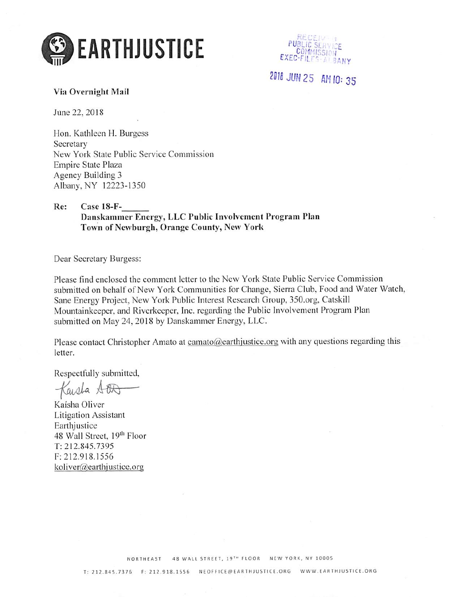

2018 JUN 25 AM 10: 35

#### Via Overnight Mail

June 22,2018

Hon. Kathleen H. Burgess Secretary New York Slate Public Service Commission Empire State Plaza Agency Building 3 Albany, NY 12223-1350

### Re: Case 18-F-Danskammer Energy, LLC Public Involvement Program Plan Town of Newburgh, Orange County, New York

Dear Secretary Burgess:

Please find enclosed the comment letter to the New York State Public Service Commission submitted on behalf of New York Communities for Change, Sierra Club, Food and Water Watch, Sane Energy Project, New York Public Interest Research Group, 350.org. Catskill Mountainkecper, and Riverkecper, Inc. regarding the Public Involvement Program Plan submitted on May 24, 2018 by Danskammer Energy, LLC.

Please contact Christopher Amato at camato@earthjustice.org with any questions regarding this letter.

Respectfully submitted,

Kaista Alt

Kaisha Oliver Litigation Assistant Earthiustice 48 Wall Street, 19<sup>th</sup> Floor T: 212.845.7395 F:212.918.1556 koliver@earthiustice.org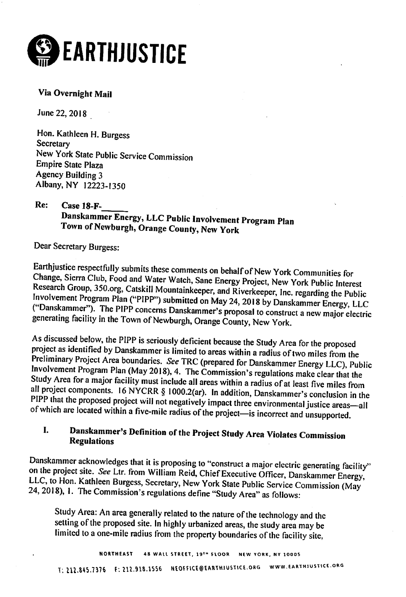

### Via Overnight Mail

June 22,2018

Hon. Kathleen H. Burgess **Secretary** New York State Public Service Commission Empire State Plaza Agency Building 3 Albany, NY 12223-1350

# Re: Case 18-F-Danskammcr Energy, LLC Public Involvement Program Plan Town of Newburgh, Orange County, New York

Dear Secretary Burgess:

Earthjustice respectfully submits these comments on behalf of New York Communities for Change, Sierra Club, Food and Water Watch, Sane Energy Project, New York Public Interest Research Group, 350.org, Catskill Mountainkeeper, and Riverkeeper, Inc. regarding the Public<br>Involvement Program Plan ("PIPP") submitted on May 24, 2018 by Danskammer Energy, LLC ("Danskammer"). The PIPP concerns Danskammer's proposal to construct a new major electric generating facility in the Town of Newburgh, Orange County, New York.

As discussed below, the PIPP is seriously deficient because the Study Area for the proposed project as identified by Danskammer is limited to areas within a radius of two miles from the Preliminary Project Area boundaries. See TRC (prepared for Danskammer Energy LLC), Public Involvement Program Plan (May 2018), 4. The Commission's regulations make clear that the Study Area for a major facility must include all areas within a radius of at least five miles from all project components. 16 NYCRR § 1000.2(ar). In addition, Danskammer's conclusion in the PIPP that the proposed project will not negatively impact three environmental justice areas—all of which are located within a five-mile radius of the project—is incorrect and unsupported.

## I. Danskammer's Definition of the Project Study Area Violates Commission Regulations

Danskammer acknowledges that it is proposing to "construct a major electric generating facility" on the project site. See Ltr. from William Reid, Chief Executive Officer, Danskammer Energy, LLC, to Hon. Kathleen Burgess, Secretary, New York State Public Service Commission (May 24, 2018), 1. The Commission's regulations define "Study Area" as follows:

Study Area: An area generally related to the nature of the technology and the setting of the proposed site. In highly urbanized areas, the study area may be limited to a one-mile radius from the property boundaries of the facility site,

NORTHEAST 48 WAll STREET, 19'" flOOR NEW YORK, NY 10005 T; 2U.845.7376 f: 211.918.1556 NEOff\Ct@tARTH)USTiCE.ORG www.earthiustice.org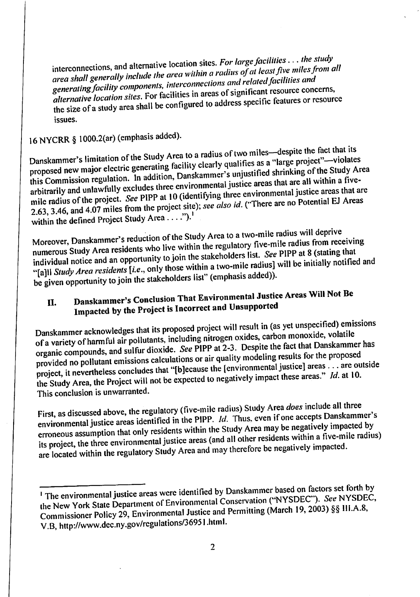interconnections, and alternative location sites. For large facilities  $\dots$  the study interconnections, and alternative location sites. For large in least five miles from a interconnections, and alternative location sites. For large jackines  $\ldots$  and  $\ldots$  and  $\ldots$  area shall generally include the area within a radius of at least five miles from all area shall generally include the interco area shall generally include the area within a radius of a redsignment and<br>generating facility components, interconnections and related facilities and<br>Facilities in areas of significant resource conc generating facility components, interconnections and retailed jumines and<br>alternative location sites. For facilities in areas of significant resource concerns,<br>alternative location sites. For facilities in areas of signifi alternative location sites. For facilities in areas or significant resource centerially<br>the size of a study area shall be configured to address specific features or resource issues.

# 16 NYCRR § 1000.2(ar) (emphasis added).

Danskammer's limitation of the Study Area to a radius of two miles—despite the fact that its proposed new major electric generating facility clearly qualifies as a "large project"—violates this Commission regulation. In addition, Danskammer's unjustified shrinking of the Study Area arbitrarily and unlawfully excludes three environmental justice areas that are all within a fivemile radius of the project. See PIPP at 10 (identifying three environmental justice areas that are 2.63, 3.46, and 4.07 miles from the project site); see also id. ("There are no Potential EJ Areas within the defined Project Study Area  $\dots$ .").<sup>1</sup>

Moreover, Danskammer's reduction of the Study Area to a two-mile radius will deprive Moreover, Danskammer's reduction of the Study Area to a two-mile radius will deprive numerous Study Area residents who live width the regulatory ist. See PIPP at 8 (stating that individual notice and an opportunity to join the statements here will be initially notified and "[a]] Study Area residents [i.e., only those within a two-miles added)). be given opportunity to join the stakeholders list" (emphasis added)).

# II. Danskammer's Conclusion That Environmental Justice Areas Will Not Be Impacted by the Project is Incorrect and Unsupported

Danskammer acknowledges that its proposed project will result in (as yet unspecified) emissions<br>including nitrogen oxides carbon monoxide, volatile Danskammer acknowledges that its proposed project will result in the grand oxide, volatile<br>of a variety of harmful air pollutants, including nitrogen oxides, carbon monoxide, volatile<br>in the Basil Despite the fact that Dan of a variety of harmful air pollutants, including nitrogen oxides, carbon monokide, verter-<br>organic compounds, and sulfur dioxide. See PIPP at 2-3. Despite the fact that Danskammer has organic compounds, and sulfur dioxide. See PIPP at 2-5. Despite the fact that Baltermann<br>provided no pollutant emissions calculations or air quality modeling results for the proposed<br>in the length control institute areas . provided no pollutant emissions calculations or air quality modeling results for the project-<br>project, it nevertheless concludes that "[b]ecause the [environmental justice] areas... are outside<br>project, it nevertheless co the Study Area, the Project will not be expected to negatively impact these areas."  $Id$ . at 10. This conclusion is unwarranted.

First, as discussed above, the regulatory (five-mile radius) Study Area *does* include all three environmental justice areas identified in the PIPP. *Id*. Thus, even if one accepts Danskammer's erroneous assumption that on erroneous assumption that only residents within the Study Area may be negatively impressed.<br>its project, the three environmental justice areas (and all other residents within a five-mile radius) are located within the regulatory Study Area and may therefore be negatively impacted.

<sup>&</sup>lt;sup>1</sup> The environmental justice areas were identified the New York State Department of Environmental Conservation ("NYSDEC"). See NYSDEC, The environmental justice areas were identified by Danskammer based on factors set f<br>the New York State Department of Environmental Conservation ("NYSDEC"). See NY<br>Commissioner Policy 29, Environmental Justice and Permitti Commissioner Policy 29, Environmental Justice and Permitting (March 19, 2003) §§ III.A.8, V.B, http://www.dec.ny.gov/regulations/36951 .html.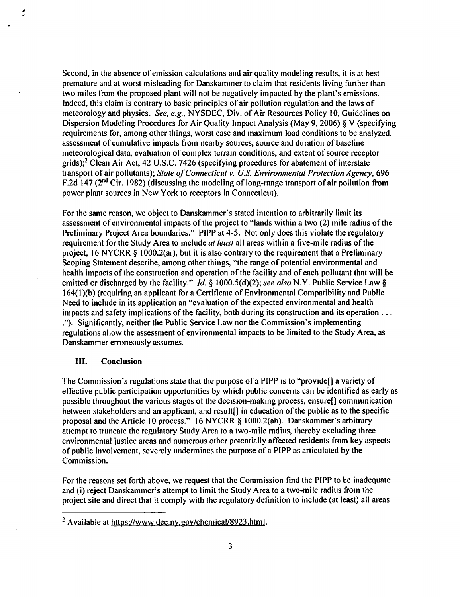Second, in the absence of emission calculations and air quality modeling results, it is at best premature and at worst misleading for Danskammer to claim that residents living further than two miles from the proposed plant will not be negatively impacted by the plant's emissions. Indeed, this claim is contrary to basic principles of air pollution regulation and the laws of meteorology and physics. See, e.g., NYSDEC, Div. of Air Resources Policy 10, Guidelines on Dispersion Modeling Procedures for Air Quality Impact Analysis (May 9, 2006) § V (specifying requirements for, among other things, worst case and maximum load conditions to be analyzed, assessment of cumulative impacts from nearby sources, source and duration of baseline meteorological data, evaluation of complex terrain conditions, and extent of source receptor grids); $^{2}$  Clean Air Act, 42 U.S.C. 7426 (specifying procedures for abatement of interstate transport of air pollutants); Stale of Connecticut v. U.S. Environmental Protection Agency, 696 F.2d 147 (2<sup>nd</sup> Cir. 1982) (discussing the modeling of long-range transport of air pollution from power plant sources in New York to receptors in Connecticut).

For the same reason, we object to Danskammer's stated intention to arbitrarily limit its assessment of environmental impacts of the project to "lands within a two (2) mile radius of the Preliminary Project Area boundaries." PIPP at 4-5. Not only does this violate the regulatory requirement for the Study Area to include *at least* all areas within a five-mile radius of the project, 16 NYCRR § I000.2(ar), but it is also contrary to the requirement that a Preliminary Scoping Statement describe, among other things, "the range of potential environmental and health impacts of the construction and operation of the facility and of each pollutant that will be emitted or discharged by the facility." *Id.* § 1000.5(d)(2); see also N.Y. Public Service Law § 164(l)(b) (requiring an applicant for a Certificate of Environmental Compatibility and Public Need to include in its application an "evaluation of the expected environmental and health impacts and safety implications of the facility, both during its construction and its operation ... ."). Significantly, neither the Public Service Law nor the Commission's implementing regulations allow the assessment of environmental impaets to be limited to the Study Area, as Danskammer erroneously assumes.

#### III. Conclusion

Ŝ

The Commission's regulations state that the purpose of a PIPP is to "provide[] a variety of effective public participation opportunities by which public concerns can be identified as early as possible throughout the various stages of the decision-making process, ensure[] communication between stakeholders and an applicant, and result[] in education of the public as to the specific proposal and the Article 10 process." 16 NYCRR § I000.2(ah). Danskammer's arbitrary attempt to truncate the regulatory Study Area to a two-mile radius, thereby excluding three environmental justice areas and numerous other potentially affected residents from key aspects of public involvement, severely undennines the purpose of a PIPP as articulated by the Commission.

For the reasons set forth above, we request that the Commission find the PIPP to be inadequate and (i) reject Danskammer's attempt to limit the Study Area to a two-mile radius from the project site and direct that it comply with the regulatory definition to include (at least) all areas

 $2$  Available at https://www.dec.ny.gov/chemical/8923.html.